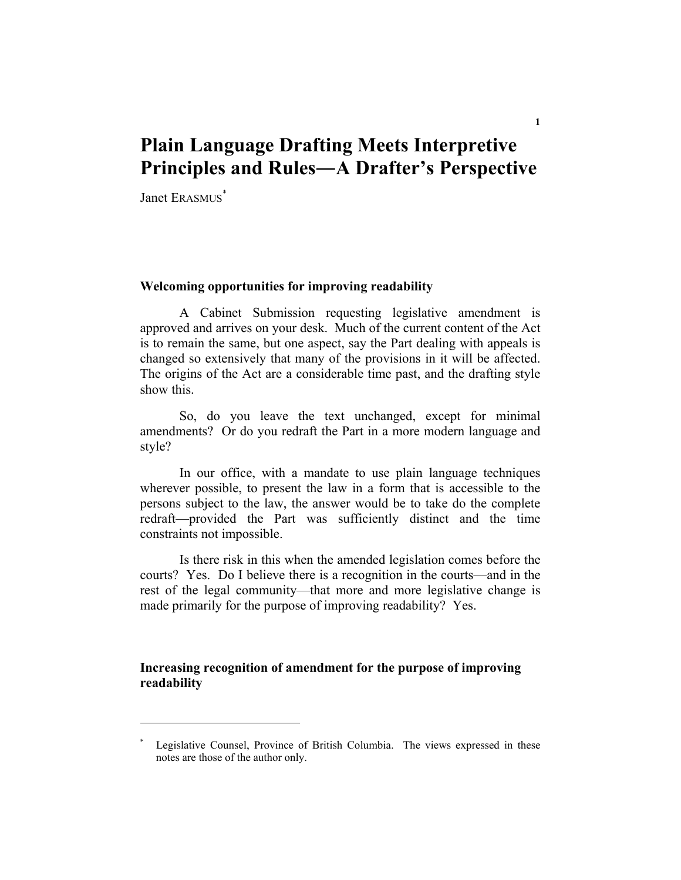# **Plain Language Drafting Meets Interpretive Principles and Rules―A Drafter's Perspective**

Janet ERASMUS<sup>\*</sup>

# **Welcoming opportunities for improving readability**

A Cabinet Submission requesting legislative amendment is approved and arrives on your desk. Much of the current content of the Act is to remain the same, but one aspect, say the Part dealing with appeals is changed so extensively that many of the provisions in it will be affected. The origins of the Act are a considerable time past, and the drafting style show this.

 So, do you leave the text unchanged, except for minimal amendments? Or do you redraft the Part in a more modern language and style?

 In our office, with a mandate to use plain language techniques wherever possible, to present the law in a form that is accessible to the persons subject to the law, the answer would be to take do the complete redraft—provided the Part was sufficiently distinct and the time constraints not impossible.

 Is there risk in this when the amended legislation comes before the courts? Yes. Do I believe there is a recognition in the courts—and in the rest of the legal community—that more and more legislative change is made primarily for the purpose of improving readability? Yes.

# **Increasing recognition of amendment for the purpose of improving readability**

<sup>\*</sup> Legislative Counsel, Province of British Columbia. The views expressed in these notes are those of the author only.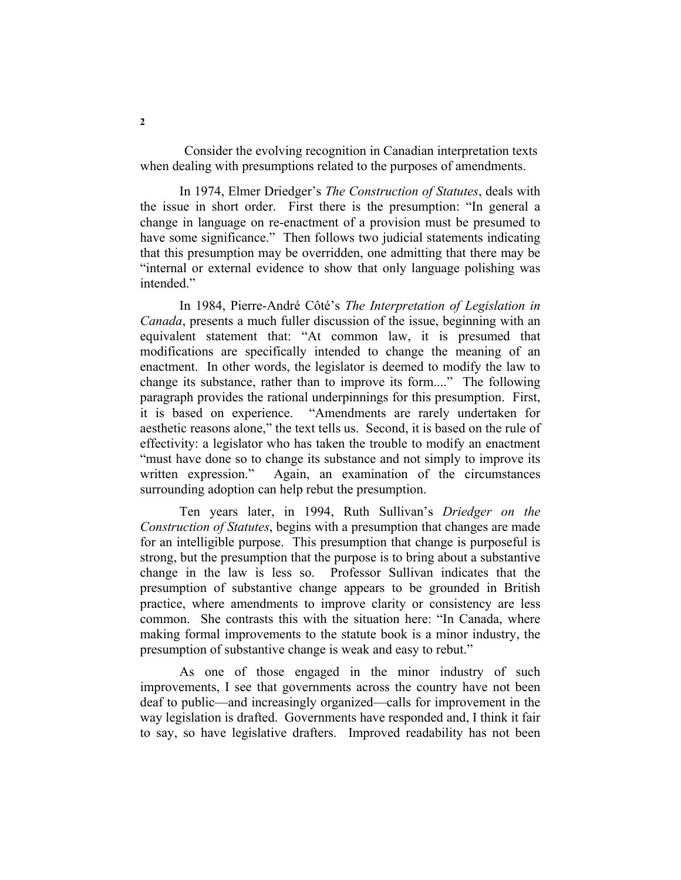Consider the evolving recognition in Canadian interpretation texts when dealing with presumptions related to the purposes of amendments.

 In 1974, Elmer Driedger's *The Construction of Statutes*, deals with the issue in short order. First there is the presumption: "In general a change in language on re-enactment of a provision must be presumed to have some significance." Then follows two judicial statements indicating that this presumption may be overridden, one admitting that there may be "internal or external evidence to show that only language polishing was intended."

 In 1984, Pierre-André Côté's *The Interpretation of Legislation in Canada*, presents a much fuller discussion of the issue, beginning with an equivalent statement that: "At common law, it is presumed that modifications are specifically intended to change the meaning of an enactment. In other words, the legislator is deemed to modify the law to change its substance, rather than to improve its form...." The following paragraph provides the rational underpinnings for this presumption. First, it is based on experience. "Amendments are rarely undertaken for aesthetic reasons alone," the text tells us. Second, it is based on the rule of effectivity: a legislator who has taken the trouble to modify an enactment "must have done so to change its substance and not simply to improve its written expression." Again, an examination of the circumstances surrounding adoption can help rebut the presumption.

 Ten years later, in 1994, Ruth Sullivan's *Driedger on the Construction of Statutes*, begins with a presumption that changes are made for an intelligible purpose. This presumption that change is purposeful is strong, but the presumption that the purpose is to bring about a substantive change in the law is less so. Professor Sullivan indicates that the presumption of substantive change appears to be grounded in British practice, where amendments to improve clarity or consistency are less common. She contrasts this with the situation here: "In Canada, where making formal improvements to the statute book is a minor industry, the presumption of substantive change is weak and easy to rebut."

 As one of those engaged in the minor industry of such improvements, I see that governments across the country have not been deaf to public—and increasingly organized—calls for improvement in the way legislation is drafted. Governments have responded and, I think it fair to say, so have legislative drafters. Improved readability has not been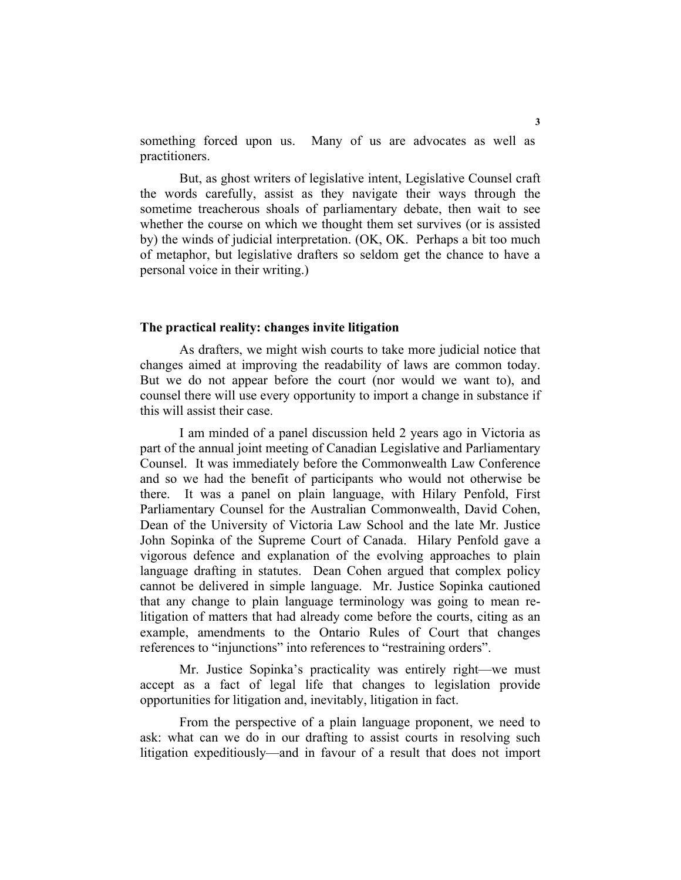something forced upon us. Many of us are advocates as well as practitioners.

 But, as ghost writers of legislative intent, Legislative Counsel craft the words carefully, assist as they navigate their ways through the sometime treacherous shoals of parliamentary debate, then wait to see whether the course on which we thought them set survives (or is assisted by) the winds of judicial interpretation. (OK, OK. Perhaps a bit too much of metaphor, but legislative drafters so seldom get the chance to have a personal voice in their writing.)

## **The practical reality: changes invite litigation**

 As drafters, we might wish courts to take more judicial notice that changes aimed at improving the readability of laws are common today. But we do not appear before the court (nor would we want to), and counsel there will use every opportunity to import a change in substance if this will assist their case.

 I am minded of a panel discussion held 2 years ago in Victoria as part of the annual joint meeting of Canadian Legislative and Parliamentary Counsel. It was immediately before the Commonwealth Law Conference and so we had the benefit of participants who would not otherwise be there. It was a panel on plain language, with Hilary Penfold, First Parliamentary Counsel for the Australian Commonwealth, David Cohen, Dean of the University of Victoria Law School and the late Mr. Justice John Sopinka of the Supreme Court of Canada. Hilary Penfold gave a vigorous defence and explanation of the evolving approaches to plain language drafting in statutes. Dean Cohen argued that complex policy cannot be delivered in simple language. Mr. Justice Sopinka cautioned that any change to plain language terminology was going to mean relitigation of matters that had already come before the courts, citing as an example, amendments to the Ontario Rules of Court that changes references to "injunctions" into references to "restraining orders".

 Mr. Justice Sopinka's practicality was entirely right—we must accept as a fact of legal life that changes to legislation provide opportunities for litigation and, inevitably, litigation in fact.

 From the perspective of a plain language proponent, we need to ask: what can we do in our drafting to assist courts in resolving such litigation expeditiously—and in favour of a result that does not import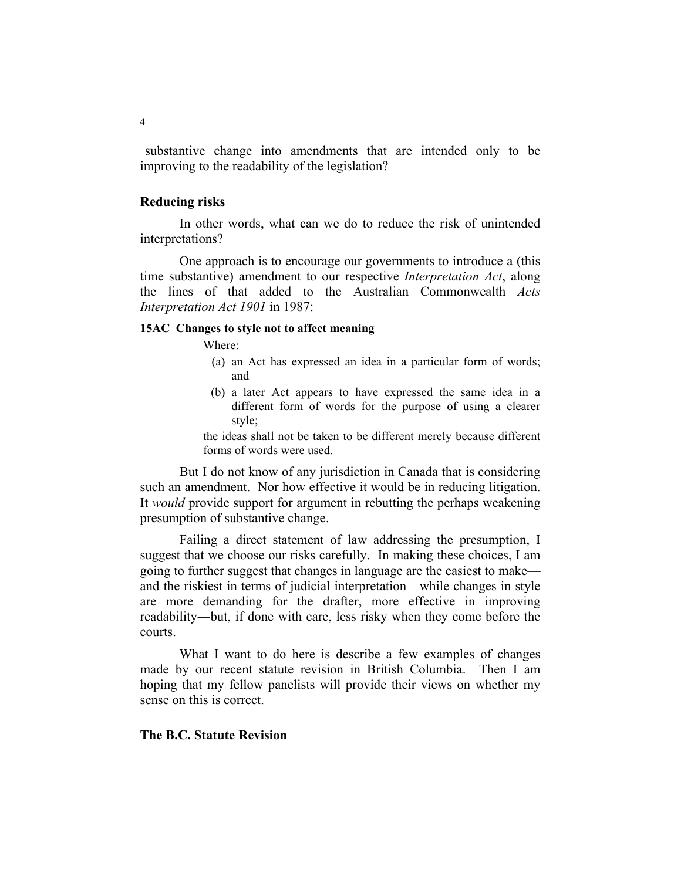substantive change into amendments that are intended only to be improving to the readability of the legislation?

# **Reducing risks**

 In other words, what can we do to reduce the risk of unintended interpretations?

 One approach is to encourage our governments to introduce a (this time substantive) amendment to our respective *Interpretation Act*, along the lines of that added to the Australian Commonwealth *Acts Interpretation Act 1901* in 1987:

# **15AC Changes to style not to affect meaning**

Where:

- (a) an Act has expressed an idea in a particular form of words; and
- (b) a later Act appears to have expressed the same idea in a different form of words for the purpose of using a clearer style;

the ideas shall not be taken to be different merely because different forms of words were used.

 But I do not know of any jurisdiction in Canada that is considering such an amendment. Nor how effective it would be in reducing litigation. It *would* provide support for argument in rebutting the perhaps weakening presumption of substantive change.

 Failing a direct statement of law addressing the presumption, I suggest that we choose our risks carefully. In making these choices, I am going to further suggest that changes in language are the easiest to make and the riskiest in terms of judicial interpretation—while changes in style are more demanding for the drafter, more effective in improving readability―but, if done with care, less risky when they come before the courts.

 What I want to do here is describe a few examples of changes made by our recent statute revision in British Columbia. Then I am hoping that my fellow panelists will provide their views on whether my sense on this is correct.

# **The B.C. Statute Revision**

**4**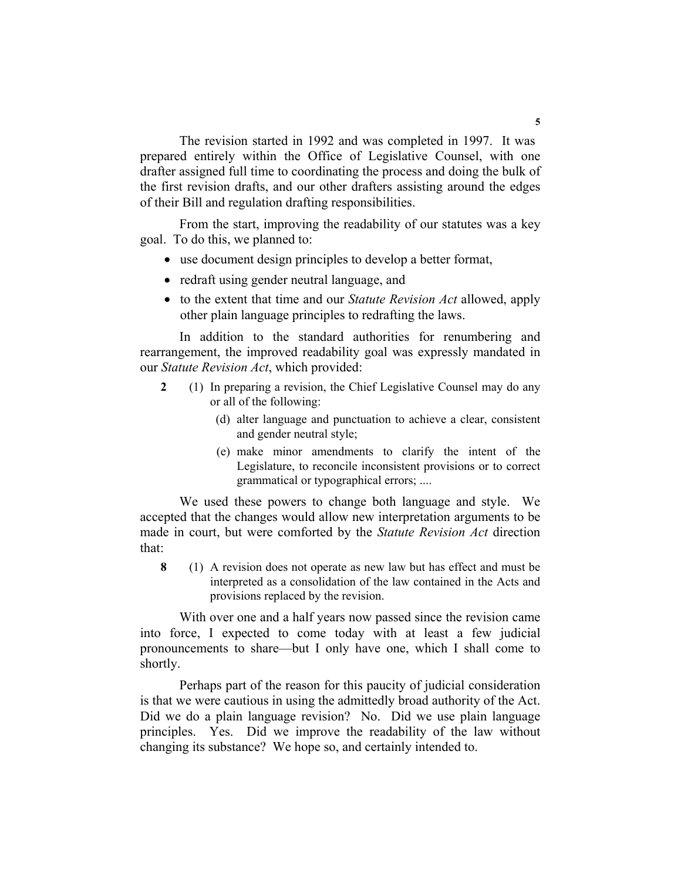The revision started in 1992 and was completed in 1997. It was prepared entirely within the Office of Legislative Counsel, with one drafter assigned full time to coordinating the process and doing the bulk of the first revision drafts, and our other drafters assisting around the edges of their Bill and regulation drafting responsibilities.

 From the start, improving the readability of our statutes was a key goal. To do this, we planned to:

- use document design principles to develop a better format,
- redraft using gender neutral language, and
- to the extent that time and our *Statute Revision Act* allowed, apply other plain language principles to redrafting the laws.

 In addition to the standard authorities for renumbering and rearrangement, the improved readability goal was expressly mandated in our *Statute Revision Act*, which provided:

- **2** (1) In preparing a revision, the Chief Legislative Counsel may do any or all of the following:
	- (d) alter language and punctuation to achieve a clear, consistent and gender neutral style;
	- (e) make minor amendments to clarify the intent of the Legislature, to reconcile inconsistent provisions or to correct grammatical or typographical errors; ....

 We used these powers to change both language and style. We accepted that the changes would allow new interpretation arguments to be made in court, but were comforted by the *Statute Revision Act* direction that:

**8** (1) A revision does not operate as new law but has effect and must be interpreted as a consolidation of the law contained in the Acts and provisions replaced by the revision.

 With over one and a half years now passed since the revision came into force, I expected to come today with at least a few judicial pronouncements to share—but I only have one, which I shall come to shortly.

 Perhaps part of the reason for this paucity of judicial consideration is that we were cautious in using the admittedly broad authority of the Act. Did we do a plain language revision? No. Did we use plain language principles. Yes. Did we improve the readability of the law without changing its substance? We hope so, and certainly intended to.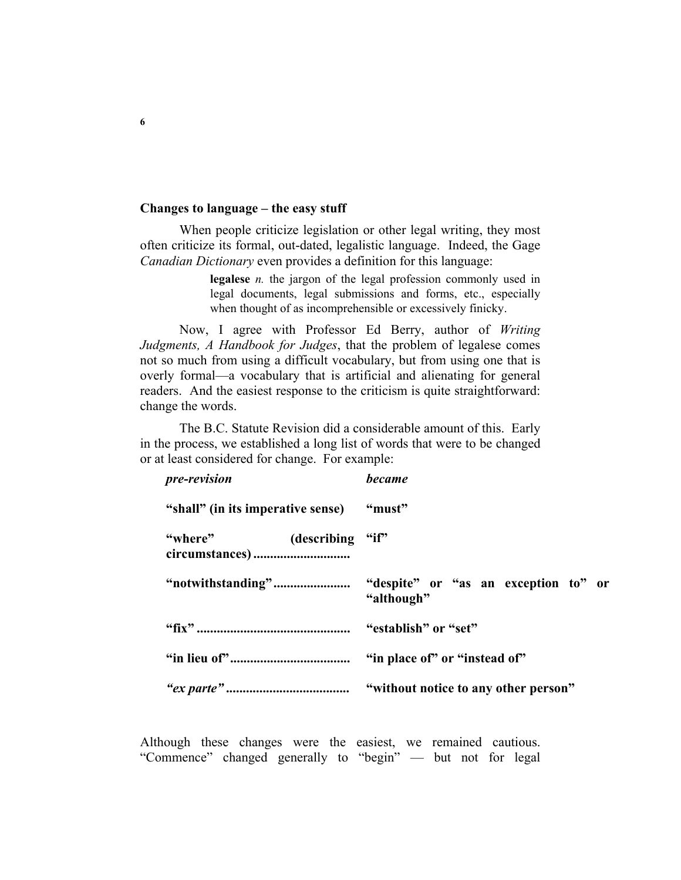# **Changes to language – the easy stuff**

 When people criticize legislation or other legal writing, they most often criticize its formal, out-dated, legalistic language. Indeed, the Gage *Canadian Dictionary* even provides a definition for this language:

> **legalese** *n.* the jargon of the legal profession commonly used in legal documents, legal submissions and forms, etc., especially when thought of as incomprehensible or excessively finicky.

 Now, I agree with Professor Ed Berry, author of *Writing Judgments, A Handbook for Judges*, that the problem of legalese comes not so much from using a difficult vocabulary, but from using one that is overly formal—a vocabulary that is artificial and alienating for general readers. And the easiest response to the criticism is quite straightforward: change the words.

 The B.C. Statute Revision did a considerable amount of this. Early in the process, we established a long list of words that were to be changed or at least considered for change. For example:

| pre-revision                             | <b>became</b> |
|------------------------------------------|---------------|
| "shall" (in its imperative sense) "must" |               |
| "where" (describing "if")                |               |
|                                          | "although"    |
|                                          |               |
|                                          |               |
|                                          |               |

Although these changes were the easiest, we remained cautious. "Commence" changed generally to "begin" — but not for legal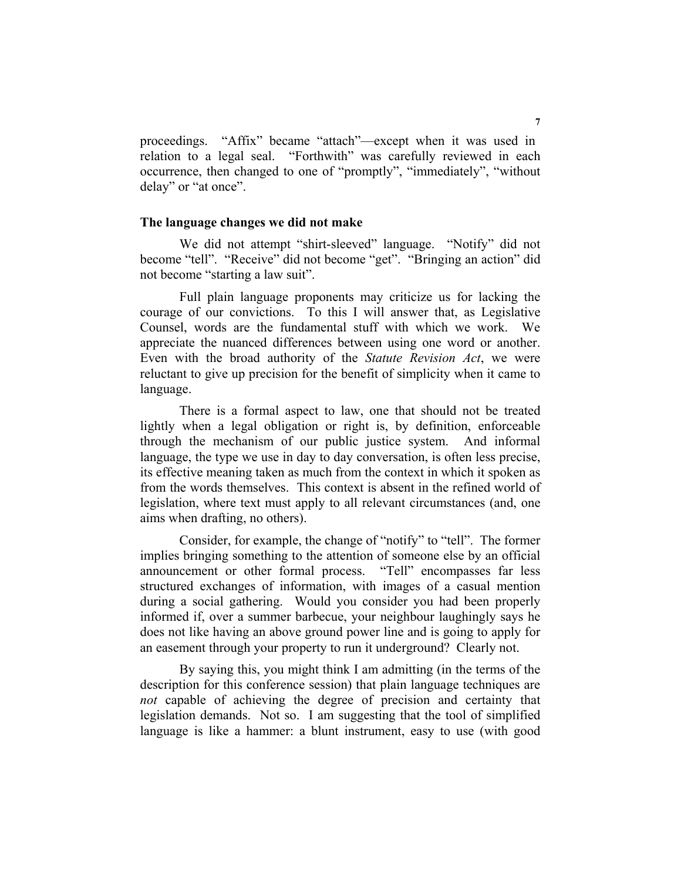proceedings. "Affix" became "attach"—except when it was used in relation to a legal seal. "Forthwith" was carefully reviewed in each occurrence, then changed to one of "promptly", "immediately", "without delay" or "at once".

#### **The language changes we did not make**

 We did not attempt "shirt-sleeved" language. "Notify" did not become "tell". "Receive" did not become "get". "Bringing an action" did not become "starting a law suit".

 Full plain language proponents may criticize us for lacking the courage of our convictions. To this I will answer that, as Legislative Counsel, words are the fundamental stuff with which we work. We appreciate the nuanced differences between using one word or another. Even with the broad authority of the *Statute Revision Act*, we were reluctant to give up precision for the benefit of simplicity when it came to language.

 There is a formal aspect to law, one that should not be treated lightly when a legal obligation or right is, by definition, enforceable through the mechanism of our public justice system. And informal language, the type we use in day to day conversation, is often less precise, its effective meaning taken as much from the context in which it spoken as from the words themselves. This context is absent in the refined world of legislation, where text must apply to all relevant circumstances (and, one aims when drafting, no others).

 Consider, for example, the change of "notify" to "tell". The former implies bringing something to the attention of someone else by an official announcement or other formal process. "Tell" encompasses far less structured exchanges of information, with images of a casual mention during a social gathering. Would you consider you had been properly informed if, over a summer barbecue, your neighbour laughingly says he does not like having an above ground power line and is going to apply for an easement through your property to run it underground? Clearly not.

 By saying this, you might think I am admitting (in the terms of the description for this conference session) that plain language techniques are *not* capable of achieving the degree of precision and certainty that legislation demands. Not so. I am suggesting that the tool of simplified language is like a hammer: a blunt instrument, easy to use (with good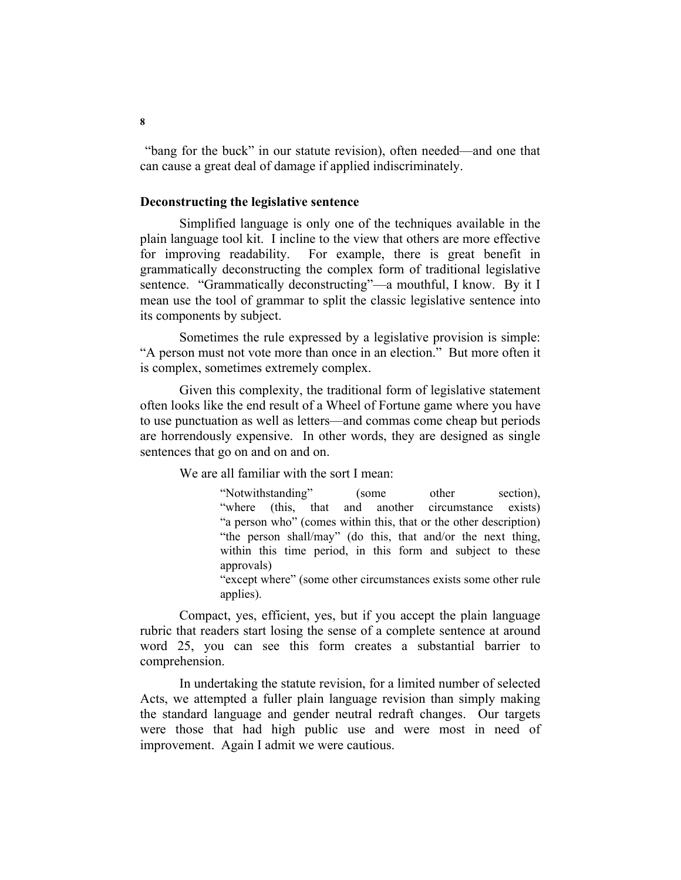"bang for the buck" in our statute revision), often needed—and one that can cause a great deal of damage if applied indiscriminately.

# **Deconstructing the legislative sentence**

 Simplified language is only one of the techniques available in the plain language tool kit. I incline to the view that others are more effective for improving readability. For example, there is great benefit in grammatically deconstructing the complex form of traditional legislative sentence. "Grammatically deconstructing"—a mouthful, I know. By it I mean use the tool of grammar to split the classic legislative sentence into its components by subject.

 Sometimes the rule expressed by a legislative provision is simple: "A person must not vote more than once in an election." But more often it is complex, sometimes extremely complex.

 Given this complexity, the traditional form of legislative statement often looks like the end result of a Wheel of Fortune game where you have to use punctuation as well as letters—and commas come cheap but periods are horrendously expensive. In other words, they are designed as single sentences that go on and on and on.

We are all familiar with the sort I mean:

 "Notwithstanding" (some other section), "where (this, that and another circumstance exists) "a person who" (comes within this, that or the other description) "the person shall/may" (do this, that and/or the next thing, within this time period, in this form and subject to these approvals)

"except where" (some other circumstances exists some other rule applies).

 Compact, yes, efficient, yes, but if you accept the plain language rubric that readers start losing the sense of a complete sentence at around word 25, you can see this form creates a substantial barrier to comprehension.

 In undertaking the statute revision, for a limited number of selected Acts, we attempted a fuller plain language revision than simply making the standard language and gender neutral redraft changes. Our targets were those that had high public use and were most in need of improvement. Again I admit we were cautious.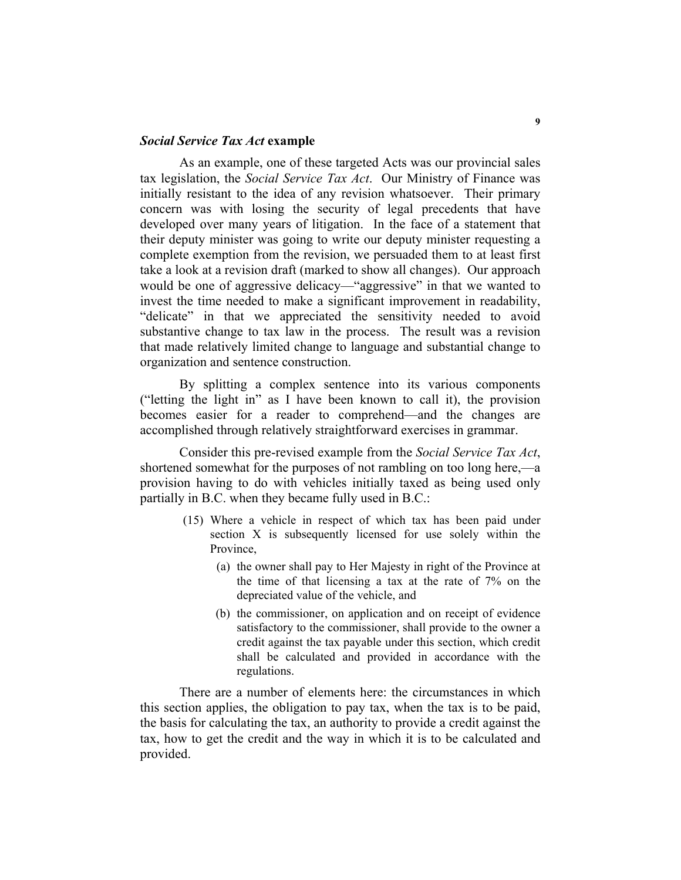# *Social Service Tax Act* **example**

 As an example, one of these targeted Acts was our provincial sales tax legislation, the *Social Service Tax Act*. Our Ministry of Finance was initially resistant to the idea of any revision whatsoever. Their primary concern was with losing the security of legal precedents that have developed over many years of litigation. In the face of a statement that their deputy minister was going to write our deputy minister requesting a complete exemption from the revision, we persuaded them to at least first take a look at a revision draft (marked to show all changes). Our approach would be one of aggressive delicacy—"aggressive" in that we wanted to invest the time needed to make a significant improvement in readability, "delicate" in that we appreciated the sensitivity needed to avoid substantive change to tax law in the process. The result was a revision that made relatively limited change to language and substantial change to organization and sentence construction.

 By splitting a complex sentence into its various components ("letting the light in" as I have been known to call it), the provision becomes easier for a reader to comprehend—and the changes are accomplished through relatively straightforward exercises in grammar.

 Consider this pre-revised example from the *Social Service Tax Act*, shortened somewhat for the purposes of not rambling on too long here,—a provision having to do with vehicles initially taxed as being used only partially in B.C. when they became fully used in B.C.:

- (15) Where a vehicle in respect of which tax has been paid under section X is subsequently licensed for use solely within the Province,
	- (a) the owner shall pay to Her Majesty in right of the Province at the time of that licensing a tax at the rate of 7% on the depreciated value of the vehicle, and
	- (b) the commissioner, on application and on receipt of evidence satisfactory to the commissioner, shall provide to the owner a credit against the tax payable under this section, which credit shall be calculated and provided in accordance with the regulations.

 There are a number of elements here: the circumstances in which this section applies, the obligation to pay tax, when the tax is to be paid, the basis for calculating the tax, an authority to provide a credit against the tax, how to get the credit and the way in which it is to be calculated and provided.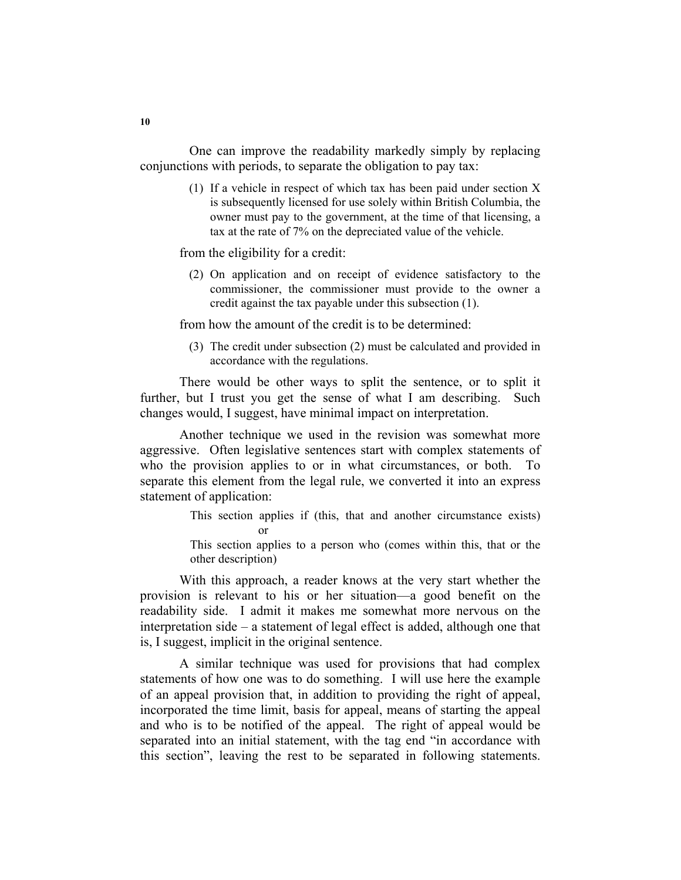One can improve the readability markedly simply by replacing conjunctions with periods, to separate the obligation to pay tax:

> (1) If a vehicle in respect of which tax has been paid under section X is subsequently licensed for use solely within British Columbia, the owner must pay to the government, at the time of that licensing, a tax at the rate of 7% on the depreciated value of the vehicle.

from the eligibility for a credit:

 (2) On application and on receipt of evidence satisfactory to the commissioner, the commissioner must provide to the owner a credit against the tax payable under this subsection (1).

from how the amount of the credit is to be determined:

 (3) The credit under subsection (2) must be calculated and provided in accordance with the regulations.

 There would be other ways to split the sentence, or to split it further, but I trust you get the sense of what I am describing. Such changes would, I suggest, have minimal impact on interpretation.

 Another technique we used in the revision was somewhat more aggressive. Often legislative sentences start with complex statements of who the provision applies to or in what circumstances, or both. To separate this element from the legal rule, we converted it into an express statement of application:

> This section applies if (this, that and another circumstance exists) or

> This section applies to a person who (comes within this, that or the other description)

 With this approach, a reader knows at the very start whether the provision is relevant to his or her situation—a good benefit on the readability side. I admit it makes me somewhat more nervous on the interpretation side – a statement of legal effect is added, although one that is, I suggest, implicit in the original sentence.

 A similar technique was used for provisions that had complex statements of how one was to do something. I will use here the example of an appeal provision that, in addition to providing the right of appeal, incorporated the time limit, basis for appeal, means of starting the appeal and who is to be notified of the appeal. The right of appeal would be separated into an initial statement, with the tag end "in accordance with this section", leaving the rest to be separated in following statements.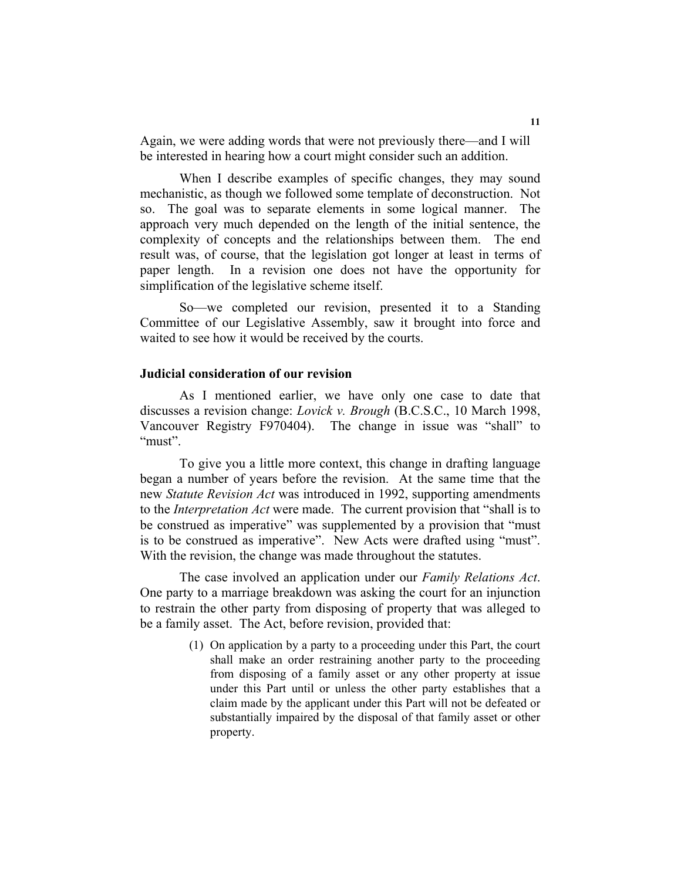Again, we were adding words that were not previously there—and I will be interested in hearing how a court might consider such an addition.

When I describe examples of specific changes, they may sound mechanistic, as though we followed some template of deconstruction. Not so. The goal was to separate elements in some logical manner. The approach very much depended on the length of the initial sentence, the complexity of concepts and the relationships between them. The end result was, of course, that the legislation got longer at least in terms of paper length. In a revision one does not have the opportunity for simplification of the legislative scheme itself.

 So—we completed our revision, presented it to a Standing Committee of our Legislative Assembly, saw it brought into force and waited to see how it would be received by the courts.

# **Judicial consideration of our revision**

 As I mentioned earlier, we have only one case to date that discusses a revision change: *Lovick v. Brough* (B.C.S.C., 10 March 1998, Vancouver Registry F970404). The change in issue was "shall" to "must".

 To give you a little more context, this change in drafting language began a number of years before the revision. At the same time that the new *Statute Revision Act* was introduced in 1992, supporting amendments to the *Interpretation Act* were made. The current provision that "shall is to be construed as imperative" was supplemented by a provision that "must is to be construed as imperative". New Acts were drafted using "must". With the revision, the change was made throughout the statutes.

 The case involved an application under our *Family Relations Act*. One party to a marriage breakdown was asking the court for an injunction to restrain the other party from disposing of property that was alleged to be a family asset. The Act, before revision, provided that:

> (1) On application by a party to a proceeding under this Part, the court shall make an order restraining another party to the proceeding from disposing of a family asset or any other property at issue under this Part until or unless the other party establishes that a claim made by the applicant under this Part will not be defeated or substantially impaired by the disposal of that family asset or other property.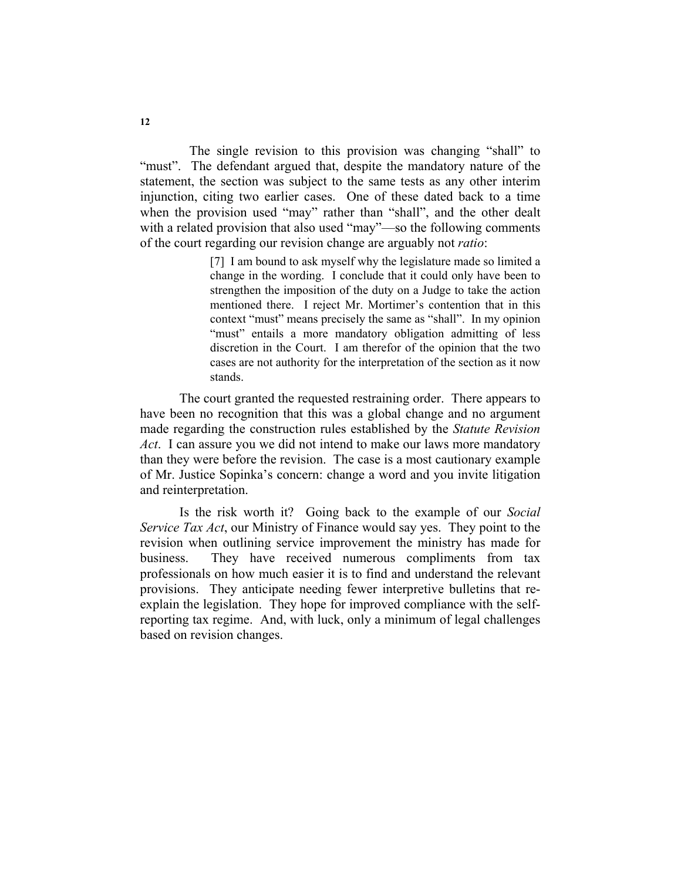The single revision to this provision was changing "shall" to "must". The defendant argued that, despite the mandatory nature of the statement, the section was subject to the same tests as any other interim injunction, citing two earlier cases. One of these dated back to a time when the provision used "may" rather than "shall", and the other dealt with a related provision that also used "may"—so the following comments of the court regarding our revision change are arguably not *ratio*:

> [7] I am bound to ask myself why the legislature made so limited a change in the wording. I conclude that it could only have been to strengthen the imposition of the duty on a Judge to take the action mentioned there. I reject Mr. Mortimer's contention that in this context "must" means precisely the same as "shall". In my opinion "must" entails a more mandatory obligation admitting of less discretion in the Court. I am therefor of the opinion that the two cases are not authority for the interpretation of the section as it now stands.

 The court granted the requested restraining order. There appears to have been no recognition that this was a global change and no argument made regarding the construction rules established by the *Statute Revision Act*. I can assure you we did not intend to make our laws more mandatory than they were before the revision. The case is a most cautionary example of Mr. Justice Sopinka's concern: change a word and you invite litigation and reinterpretation.

 Is the risk worth it? Going back to the example of our *Social Service Tax Act*, our Ministry of Finance would say yes. They point to the revision when outlining service improvement the ministry has made for business. They have received numerous compliments from tax professionals on how much easier it is to find and understand the relevant provisions. They anticipate needing fewer interpretive bulletins that reexplain the legislation. They hope for improved compliance with the selfreporting tax regime. And, with luck, only a minimum of legal challenges based on revision changes.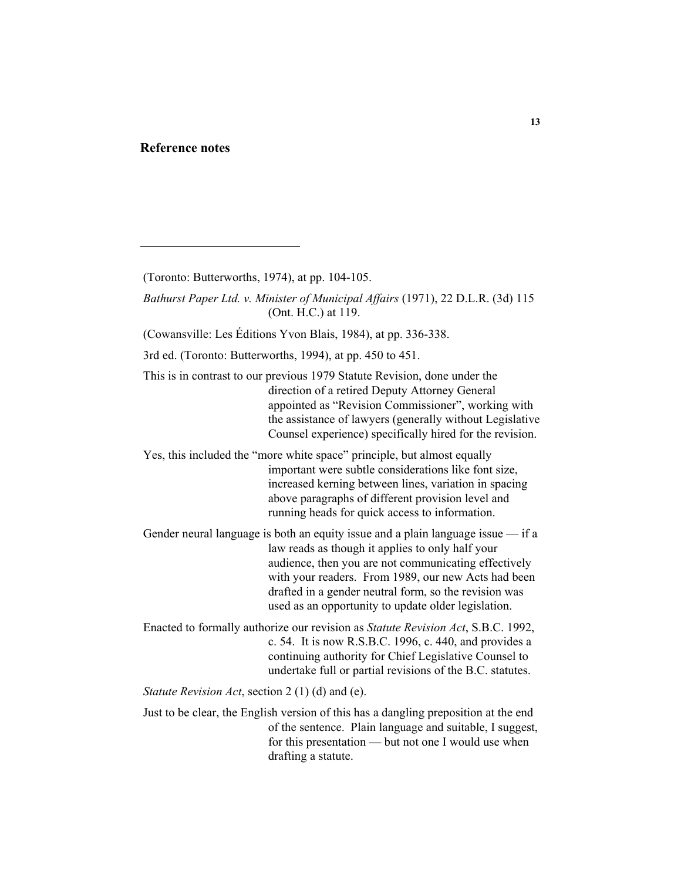# **Reference notes**

(Cowansville: Les Éditions Yvon Blais, 1984), at pp. 336-338.

3rd ed. (Toronto: Butterworths, 1994), at pp. 450 to 451.

 This is in contrast to our previous 1979 Statute Revision, done under the direction of a retired Deputy Attorney General appointed as "Revision Commissioner", working with the assistance of lawyers (generally without Legislative Counsel experience) specifically hired for the revision.

 Yes, this included the "more white space" principle, but almost equally important were subtle considerations like font size, increased kerning between lines, variation in spacing above paragraphs of different provision level and running heads for quick access to information.

 Gender neural language is both an equity issue and a plain language issue — if a law reads as though it applies to only half your audience, then you are not communicating effectively with your readers. From 1989, our new Acts had been drafted in a gender neutral form, so the revision was used as an opportunity to update older legislation.

 Enacted to formally authorize our revision as *Statute Revision Act*, S.B.C. 1992, c. 54. It is now R.S.B.C. 1996, c. 440, and provides a continuing authority for Chief Legislative Counsel to undertake full or partial revisions of the B.C. statutes.

*Statute Revision Act*, section 2 (1) (d) and (e).

 Just to be clear, the English version of this has a dangling preposition at the end of the sentence. Plain language and suitable, I suggest, for this presentation — but not one I would use when drafting a statute.

 <sup>(</sup>Toronto: Butterworths, 1974), at pp. 104-105.

*Bathurst Paper Ltd. v. Minister of Municipal Affairs* (1971), 22 D.L.R. (3d) 115 (Ont. H.C.) at 119.